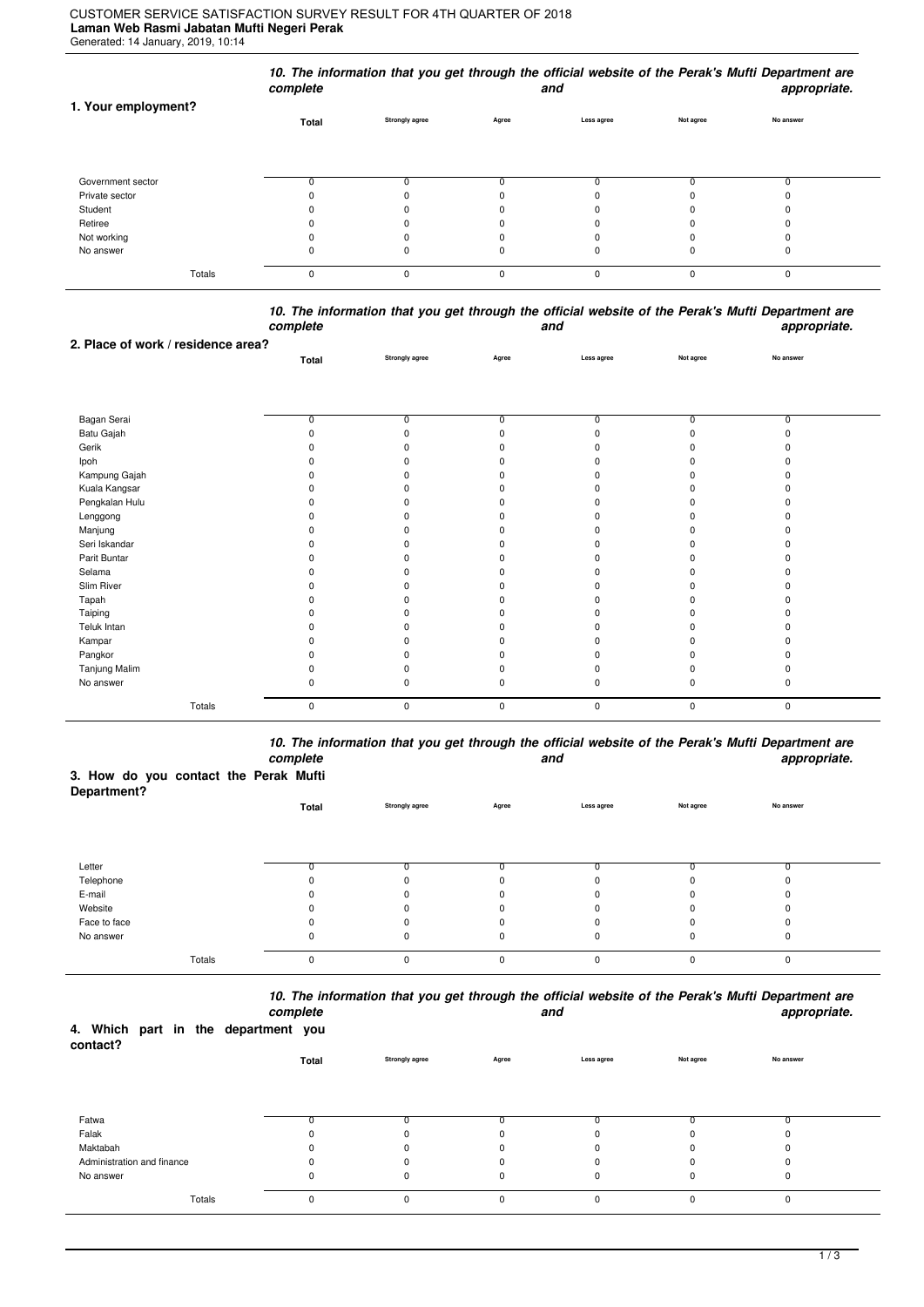## **Laman Web Rasmi Jabatan Mufti Negeri Perak** Generated: 14 January, 2019, 10:14 CUSTOMER SERVICE SATISFACTION SURVEY RESULT FOR 4TH QUARTER OF 2018

|                     | complete |                       |       | and        |           | 10. The information that you get through the official website of the Perak's Mufti Department are<br>appropriate. |  |
|---------------------|----------|-----------------------|-------|------------|-----------|-------------------------------------------------------------------------------------------------------------------|--|
| 1. Your employment? | Total    | <b>Strongly agree</b> | Agree | Less agree | Not agree | No answer                                                                                                         |  |
| Government sector   |          |                       |       |            |           |                                                                                                                   |  |
| Private sector      |          |                       |       |            |           |                                                                                                                   |  |
| Student             |          |                       |       |            |           |                                                                                                                   |  |
| Retiree             |          |                       |       |            |           |                                                                                                                   |  |
| Not working         |          |                       |       |            |           |                                                                                                                   |  |
| No answer           | 0        | 0                     |       | 0          | 0         | 0                                                                                                                 |  |
| Totals              | 0        | O                     | 0     | $\Omega$   | $\Omega$  | $\Omega$                                                                                                          |  |

*10. The information that you get through the official website of the Perak's Mufti Department are complete and appropriate.*

| 2. Place of work / residence area? |                |                |              |            |                |                         |  |
|------------------------------------|----------------|----------------|--------------|------------|----------------|-------------------------|--|
|                                    | Total          | Strongly agree | Agree        | Less agree | Not agree      | No answer               |  |
|                                    |                |                |              |            |                |                         |  |
|                                    |                |                |              |            |                |                         |  |
|                                    |                |                |              |            |                |                         |  |
| Bagan Serai                        | $\overline{0}$ | 0              | 0            | 0          | $\overline{0}$ | $\overline{\mathbf{0}}$ |  |
| Batu Gajah                         |                | 0              |              |            | $\Omega$       |                         |  |
| Gerik                              |                | ŋ              |              |            |                |                         |  |
| Ipoh                               |                | ŋ              |              |            |                |                         |  |
| Kampung Gajah                      |                | ŋ              |              |            |                |                         |  |
| Kuala Kangsar                      |                | 0              |              |            |                |                         |  |
| Pengkalan Hulu                     |                | O              |              |            |                |                         |  |
| Lenggong                           |                | ŋ              |              |            |                |                         |  |
| Manjung                            |                | ŋ              |              |            |                |                         |  |
| Seri Iskandar                      |                | ŋ              |              |            |                |                         |  |
| Parit Buntar                       |                | 0              |              |            |                |                         |  |
| Selama                             |                | ŋ              |              |            |                |                         |  |
| Slim River                         |                | ŋ              |              |            |                |                         |  |
| Tapah                              |                | ŋ              |              |            |                |                         |  |
| Taiping                            |                | 0              |              |            |                |                         |  |
| Teluk Intan                        |                | ŋ              |              |            |                |                         |  |
| Kampar                             |                | 0              |              |            |                |                         |  |
| Pangkor                            |                | ŋ              |              |            |                |                         |  |
| Tanjung Malim                      |                | 0              |              |            |                |                         |  |
| No answer                          | ŋ              | $\Omega$       | <sup>0</sup> | n          | $\Omega$       |                         |  |
|                                    |                |                |              |            |                |                         |  |
| Totals                             | 0              | 0              | 0            | $\pmb{0}$  | 0              | $\pmb{0}$               |  |

*10. The information that you get through the official website of the Perak's Mufti Department are complete and appropriate.*

## **3. How do you contact the Perak Mufti**

| Department?  |          |                       |          |            |           |           |  |
|--------------|----------|-----------------------|----------|------------|-----------|-----------|--|
|              | Total    | <b>Strongly agree</b> | Agree    | Less agree | Not agree | No answer |  |
|              |          |                       |          |            |           |           |  |
|              |          |                       |          |            |           |           |  |
| Letter       | ω        |                       |          | 0          | 0         |           |  |
| Telephone    |          |                       |          | 0          | 0         |           |  |
| E-mail       |          |                       |          | 0          | O         |           |  |
| Website      |          |                       |          | 0          | $\Omega$  |           |  |
| Face to face |          |                       |          | 0          | 0         |           |  |
| No answer    | 0        | 0                     | 0        | 0          | 0         | 0         |  |
| Totals       | $\Omega$ | $\Omega$              | $\Omega$ | 0          | $\Omega$  | 0         |  |

*10. The information that you get through the official website of the Perak's Mufti Department are*

|                                                 |        | complete    |                |          | and         |           | appropriate. |  |
|-------------------------------------------------|--------|-------------|----------------|----------|-------------|-----------|--------------|--|
| 4. Which part in the department you<br>contact? |        |             |                |          |             |           |              |  |
|                                                 |        | Total       | Strongly agree | Agree    | Less agree  | Not agree | No answer    |  |
|                                                 |        |             |                |          |             |           |              |  |
| Fatwa                                           |        |             |                |          |             |           |              |  |
| Falak                                           |        |             |                | n        |             |           |              |  |
| Maktabah                                        |        | 0           | 0              | $\Omega$ | 0           |           | 0            |  |
| Administration and finance                      |        | 0           |                | $\Omega$ | 0           |           | <sup>0</sup> |  |
| No answer                                       |        | 0           | $\Omega$       | 0        | $\mathbf 0$ | $\Omega$  | 0            |  |
|                                                 | Totals | $\mathbf 0$ | $\Omega$       | $\Omega$ | 0           | $\Omega$  | $\Omega$     |  |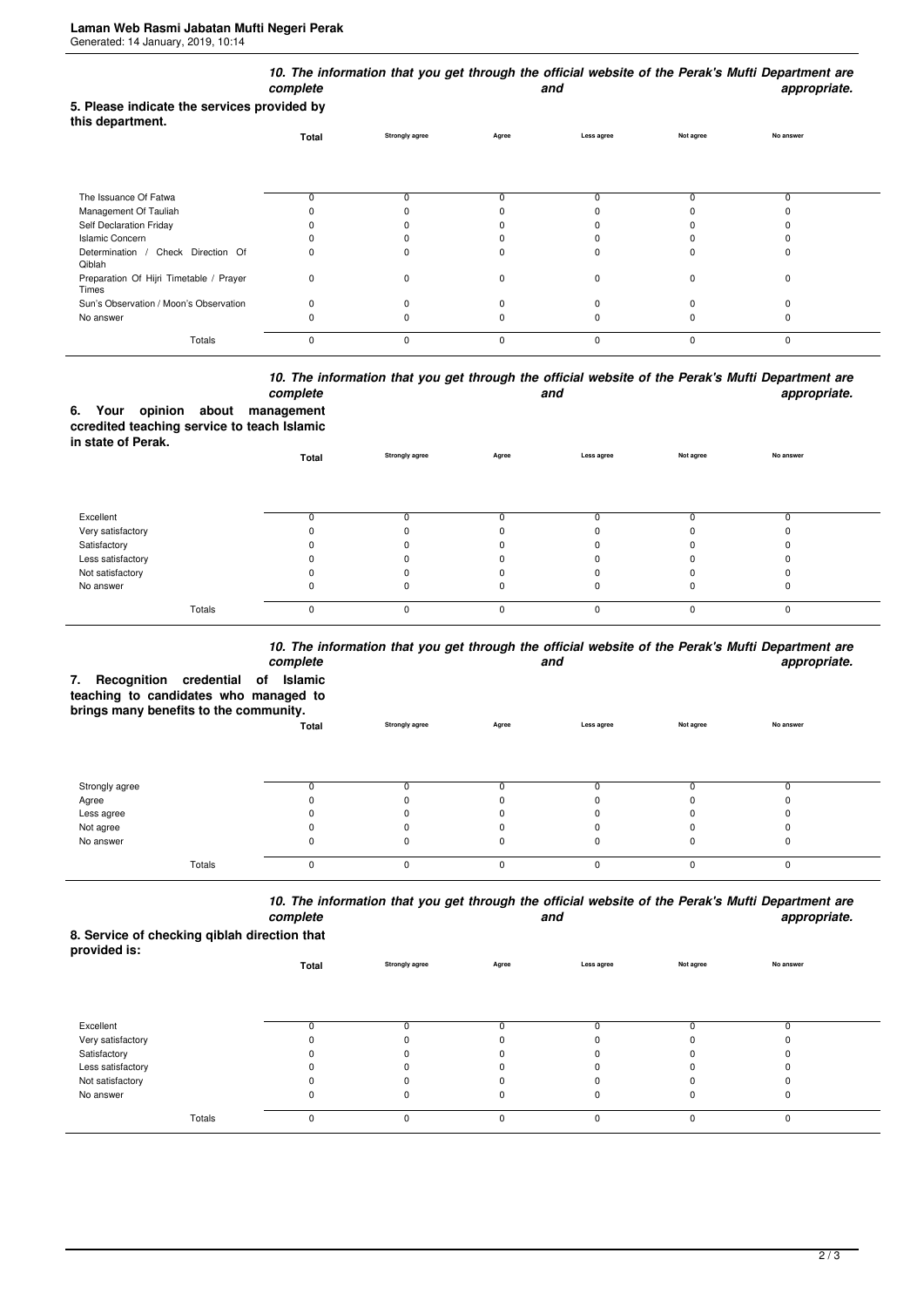| 5. Please indicate the services provided by      | complete |                       |          | and        |           | 10. The information that you get through the official website of the Perak's Mufti Department are<br>appropriate. |
|--------------------------------------------------|----------|-----------------------|----------|------------|-----------|-------------------------------------------------------------------------------------------------------------------|
| this department.                                 | Total    | <b>Strongly agree</b> | Agree    | Less agree | Not agree | No answer                                                                                                         |
| The Issuance Of Fatwa                            | 0        | 0                     | 0        |            | 0         | 0                                                                                                                 |
| Management Of Tauliah                            |          |                       |          |            |           |                                                                                                                   |
| Self Declaration Friday                          |          |                       |          |            |           |                                                                                                                   |
| <b>Islamic Concern</b>                           |          |                       |          |            |           |                                                                                                                   |
| Determination / Check Direction Of<br>Qiblah     | 0        | $\Omega$              | n        |            | C         | ŋ                                                                                                                 |
| Preparation Of Hijri Timetable / Prayer<br>Times | 0        | $\Omega$              | O        | $\Omega$   | $\Omega$  | $\Omega$                                                                                                          |
| Sun's Observation / Moon's Observation           | 0        | $\Omega$              |          |            |           |                                                                                                                   |
| No answer                                        | n        |                       |          |            |           | 0                                                                                                                 |
| Totals                                           | 0        | $\Omega$              | $\Omega$ | $\Omega$   | $\Omega$  | 0                                                                                                                 |

## *10. The information that you get through the official website of the Perak's Mufti Department are* **and** and **appropriate.**

|                    |  | complete                                    |
|--------------------|--|---------------------------------------------|
|                    |  | 6. Your opinion about management            |
|                    |  | ccredited teaching service to teach Islamic |
| in state of Perak. |  |                                             |

| <b> .</b>         | Total    | <b>Strongly agree</b> | Agree    | Less agree | Not agree | No answer |  |
|-------------------|----------|-----------------------|----------|------------|-----------|-----------|--|
|                   |          |                       |          |            |           |           |  |
| Excellent         |          |                       |          |            |           |           |  |
| Very satisfactory |          |                       |          |            |           |           |  |
| Satisfactory      |          |                       |          |            |           |           |  |
| Less satisfactory |          |                       |          |            |           |           |  |
| Not satisfactory  |          |                       |          |            |           |           |  |
| No answer         | O        |                       |          |            |           |           |  |
| Totals            | $\Omega$ | 0                     | $\Omega$ | $\Omega$   |           |           |  |

## *10. The information that you get through the official website of the Perak's Mufti Department are*

| Recognition credential of<br>7.<br>teaching to candidates who managed to<br>brings many benefits to the community. | complete<br>Islamic |                       |              | and        |           | TV. The importation that you get through the onicial website of the Felax's multi-bepartment are<br>appropriate. |
|--------------------------------------------------------------------------------------------------------------------|---------------------|-----------------------|--------------|------------|-----------|------------------------------------------------------------------------------------------------------------------|
|                                                                                                                    | Total               | <b>Strongly agree</b> | Agree        | Less agree | Not agree | No answer                                                                                                        |
| Strongly agree                                                                                                     |                     |                       |              | 0          |           |                                                                                                                  |
| Agree                                                                                                              |                     |                       |              |            |           |                                                                                                                  |
| Less agree                                                                                                         |                     |                       |              |            |           |                                                                                                                  |
| Not agree                                                                                                          |                     |                       |              | n          |           |                                                                                                                  |
| No answer                                                                                                          |                     |                       |              | 0          |           |                                                                                                                  |
| Totals                                                                                                             | $\Omega$            | O                     | <sup>0</sup> | $\Omega$   |           | $\Omega$                                                                                                         |

*10. The information that you get through the official website of the Perak's Mufti Department are* **and** and **appropriate.** 

**8. Service of checking qiblah direction that provided is:**

| provided is.      | Total | <b>Strongly agree</b> | Agree    | Less agree | Not agree | No answer |  |
|-------------------|-------|-----------------------|----------|------------|-----------|-----------|--|
|                   |       |                       |          |            |           |           |  |
| Excellent         |       |                       |          |            |           |           |  |
| Very satisfactory |       | $\Omega$              |          |            |           |           |  |
| Satisfactory      |       | 0                     |          |            |           |           |  |
| Less satisfactory |       | 0                     |          |            |           |           |  |
| Not satisfactory  |       |                       |          |            |           |           |  |
| No answer         | 0     | 0                     |          | 0          | 0         | υ         |  |
| Totals            | 0     | 0                     | $\Omega$ | $\Omega$   | $\Omega$  | 0         |  |